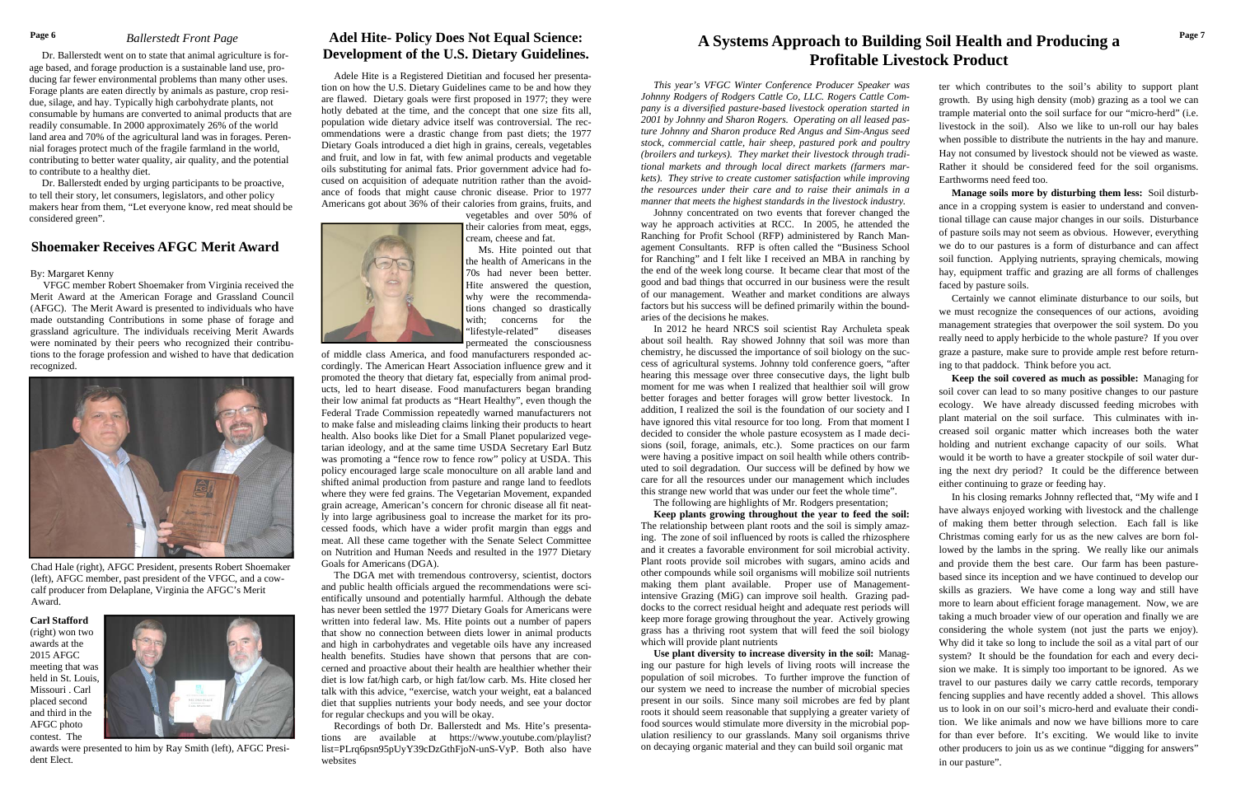*This year's VFGC Winter Conference Producer Speaker was Johnny Rodgers of Rodgers Cattle Co, LLC. Rogers Cattle Company is a diversified pasture-based livestock operation started in 2001 by Johnny and Sharon Rogers. Operating on all leased pasture Johnny and Sharon produce Red Angus and Sim-Angus seed stock, commercial cattle, hair sheep, pastured pork and poultry (broilers and turkeys). They market their livestock through traditional markets and through local direct markets (farmers markets). They strive to create customer satisfaction while improving the resources under their care and to raise their animals in a manner that meets the highest standards in the livestock industry.* 

 Johnny concentrated on two events that forever changed the way he approach activities at RCC. In 2005, he attended the Ranching for Profit School (RFP) administered by Ranch Management Consultants. RFP is often called the "Business School for Ranching" and I felt like I received an MBA in ranching by the end of the week long course. It became clear that most of the good and bad things that occurred in our business were the result of our management. Weather and market conditions are always factors but his success will be defined primarily within the boundaries of the decisions he makes.

 **Keep plants growing throughout the year to feed the soil:**  The relationship between plant roots and the soil is simply amazing. The zone of soil influenced by roots is called the rhizosphere and it creates a favorable environment for soil microbial activity. Plant roots provide soil microbes with sugars, amino acids and other compounds while soil organisms will mobilize soil nutrients making them plant available. Proper use of Managementintensive Grazing (MiG) can improve soil health. Grazing paddocks to the correct residual height and adequate rest periods will keep more forage growing throughout the year. Actively growing grass has a thriving root system that will feed the soil biology which will provide plant nutrients

 In 2012 he heard NRCS soil scientist Ray Archuleta speak about soil health. Ray showed Johnny that soil was more than chemistry, he discussed the importance of soil biology on the success of agricultural systems. Johnny told conference goers, "after hearing this message over three consecutive days, the light bulb moment for me was when I realized that healthier soil will grow better forages and better forages will grow better livestock. In addition, I realized the soil is the foundation of our society and I have ignored this vital resource for too long. From that moment I decided to consider the whole pasture ecosystem as I made decisions (soil, forage, animals, etc.). Some practices on our farm were having a positive impact on soil health while others contributed to soil degradation. Our success will be defined by how we care for all the resources under our management which includes this strange new world that was under our feet the whole time".

# Page 6 Ballerstedt Front Page **1988 Adel Hite- Policy Does Not Equal Science:** A Systems Approach to Building Soil Health and Producing a <sup>Page 7</sup> **Profitable Livestock Product**

#### The following are highlights of Mr. Rodgers presentation;

 **Use plant diversity to increase diversity in the soil:** Managing our pasture for high levels of living roots will increase the population of soil microbes. To further improve the function of our system we need to increase the number of microbial species present in our soils. Since many soil microbes are fed by plant roots it should seem reasonable that supplying a greater variety of food sources would stimulate more diversity in the microbial population resiliency to our grasslands. Many soil organisms thrive on decaying organic material and they can build soil organic mat

ter which contributes to the soil's ability to support plant growth. By using high density (mob) grazing as a tool we can trample material onto the soil surface for our "micro-herd" (i.e. livestock in the soil). Also we like to un-roll our hay bales when possible to distribute the nutrients in the hay and manure. Hay not consumed by livestock should not be viewed as waste. Rather it should be considered feed for the soil organisms. Earthworms need feed too.

 **Manage soils more by disturbing them less:** Soil disturbance in a cropping system is easier to understand and conventional tillage can cause major changes in our soils. Disturbance of pasture soils may not seem as obvious. However, everything we do to our pastures is a form of disturbance and can affect soil function. Applying nutrients, spraying chemicals, mowing hay, equipment traffic and grazing are all forms of challenges faced by pasture soils.

 Certainly we cannot eliminate disturbance to our soils, but we must recognize the consequences of our actions, avoiding management strategies that overpower the soil system. Do you really need to apply herbicide to the whole pasture? If you over graze a pasture, make sure to provide ample rest before returning to that paddock. Think before you act.

 **Keep the soil covered as much as possible:** Managing for soil cover can lead to so many positive changes to our pasture ecology. We have already discussed feeding microbes with plant material on the soil surface. This culminates with increased soil organic matter which increases both the water holding and nutrient exchange capacity of our soils. What would it be worth to have a greater stockpile of soil water during the next dry period? It could be the difference between either continuing to graze or feeding hay.

 In his closing remarks Johnny reflected that, "My wife and I have always enjoyed working with livestock and the challenge of making them better through selection. Each fall is like Christmas coming early for us as the new calves are born followed by the lambs in the spring. We really like our animals and provide them the best care. Our farm has been pasturebased since its inception and we have continued to develop our skills as graziers. We have come a long way and still have more to learn about efficient forage management. Now, we are taking a much broader view of our operation and finally we are considering the whole system (not just the parts we enjoy). Why did it take so long to include the soil as a vital part of our system? It should be the foundation for each and every decision we make. It is simply too important to be ignored. As we travel to our pastures daily we carry cattle records, temporary fencing supplies and have recently added a shovel. This allows us to look in on our soil's micro-herd and evaluate their condition. We like animals and now we have billions more to care for than ever before. It's exciting. We would like to invite other producers to join us as we continue "digging for answers" in our pasture".

 Dr. Ballerstedt went on to state that animal agriculture is forage based, and forage production is a sustainable land use, producing far fewer environmental problems than many other uses. Forage plants are eaten directly by animals as pasture, crop residue, silage, and hay. Typically high carbohydrate plants, not consumable by humans are converted to animal products that are readily consumable. In 2000 approximately 26% of the world land area and 70% of the agricultural land was in forages. Perennial forages protect much of the fragile farmland in the world, contributing to better water quality, air quality, and the potential to contribute to a healthy diet.

 Dr. Ballerstedt ended by urging participants to be proactive, to tell their story, let consumers, legislators, and other policy makers hear from them, "Let everyone know, red meat should be considered green".

 Adele Hite is a Registered Dietitian and focused her presentation on how the U.S. Dietary Guidelines came to be and how they are flawed. Dietary goals were first proposed in 1977; they were hotly debated at the time, and the concept that one size fits all, population wide dietary advice itself was controversial. The recommendations were a drastic change from past diets; the 1977 Dietary Goals introduced a diet high in grains, cereals, vegetables and fruit, and low in fat, with few animal products and vegetable oils substituting for animal fats. Prior government advice had focused on acquisition of adequate nutrition rather than the avoidance of foods that might cause chronic disease. Prior to 1977 Americans got about 36% of their calories from grains, fruits, and vegetables and over 50% of



their calories from meat, eggs, cream, cheese and fat. Ms. Hite pointed out that the health of Americans in the

70s had never been better. Hite answered the question, why were the recommendations changed so drastically with: concerns for the "lifestyle-related" diseases permeated the consciousness

of middle class America, and food manufacturers responded accordingly. The American Heart Association influence grew and it promoted the theory that dietary fat, especially from animal products, led to heart disease. Food manufacturers began branding their low animal fat products as "Heart Healthy", even though the Federal Trade Commission repeatedly warned manufacturers not to make false and misleading claims linking their products to heart health. Also books like Diet for a Small Planet popularized vegetarian ideology, and at the same time USDA Secretary Earl Butz was promoting a "fence row to fence row" policy at USDA. This policy encouraged large scale monoculture on all arable land and shifted animal production from pasture and range land to feedlots where they were fed grains. The Vegetarian Movement, expanded grain acreage, American's concern for chronic disease all fit neatly into large agribusiness goal to increase the market for its processed foods, which have a wider profit margin than eggs and meat. All these came together with the Senate Select Committee on Nutrition and Human Needs and resulted in the 1977 Dietary Goals for Americans (DGA).

 The DGA met with tremendous controversy, scientist, doctors and public health officials argued the recommendations were scientifically unsound and potentially harmful. Although the debate has never been settled the 1977 Dietary Goals for Americans were written into federal law. Ms. Hite points out a number of papers that show no connection between diets lower in animal products and high in carbohydrates and vegetable oils have any increased health benefits. Studies have shown that persons that are concerned and proactive about their health are healthier whether their diet is low fat/high carb, or high fat/low carb. Ms. Hite closed her talk with this advice, "exercise, watch your weight, eat a balanced diet that supplies nutrients your body needs, and see your doctor for regular checkups and you will be okay.

 Recordings of both Dr. Ballerstedt and Ms. Hite's presentations are available at https://www.youtube.com/playlist? list=PLrq6psn95pUyY39cDzGthFjoN-unS-VyP. Both also have websites

# **Adel Hite- Policy Does Not Equal Science: Development of the U.S. Dietary Guidelines.**

## *Ballerstedt Front Page*

# **Shoemaker Receives AFGC Merit Award**

#### By: Margaret Kenny

 VFGC member Robert Shoemaker from Virginia received the Merit Award at the American Forage and Grassland Council (AFGC). The Merit Award is presented to individuals who have made outstanding Contributions in some phase of forage and grassland agriculture. The individuals receiving Merit Awards were nominated by their peers who recognized their contributions to the forage profession and wished to have that dedication recognized.



Chad Hale (right), AFGC President, presents Robert Shoemaker (left), AFGC member, past president of the VFGC, and a cowcalf producer from Delaplane, Virginia the AFGC's Merit Award.

**Carl Stafford** (right) won two awards at the 2015 AFGC meeting that was held in St. Louis, Missouri . Carl placed second and third in the AFGC photo contest. The



awards were presented to him by Ray Smith (left), AFGC President Elect.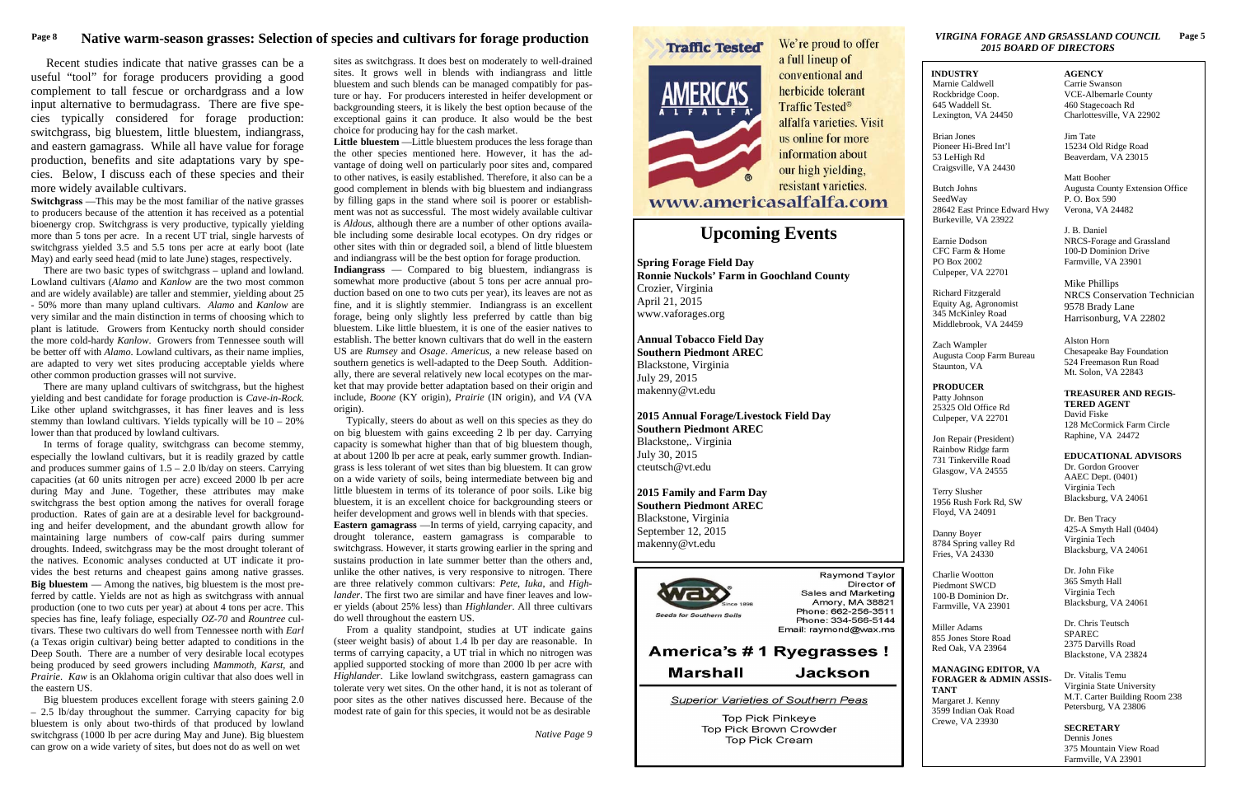#### *2015 BOARD OF DIRECTORS* **VIRGINA FORAGE AND GR5ASSLAND COUNCIL Page 5**

# **Upcoming Events**

**Spring Forage Field Day Ronnie Nuckols' Farm in Goochland County**  Crozier, Virginia April 21, 2015 www.vaforages.org

**Annual Tobacco Field Day Southern Piedmont AREC** Blackstone, Virginia July 29, 2015 makenny@vt.edu

**2015 Annual Forage/Livestock Field Day Southern Piedmont AREC**  Blackstone,. Virginia July 30, 2015 cteutsch@vt.edu

**2015 Family and Farm Day Southern Piedmont AREC**  Blackstone, Virginia September 12, 2015 makenny@vt.edu



Raymond Taylor Director of **Sales and Marketing** Amory, MA 38821 Phone: 662-256-3511 Phone: 334-566-5144 Email: raymond@wax.ms

# America's #1 Ryegrasses ! **Marshall Jackson**

Superior Varieties of Southern Peas

**Top Pick Pinkeye** Top Pick Brown Crowder Top Pick Cream

## **INDUSTRY**

 Marnie Caldwell Rockbridge Coop. 645 Waddell St. Lexington, VA 24450

Brian Jones Pioneer Hi-Bred Int'l 53 LeHigh Rd Craigsville, VA 24430

Butch Johns SeedWay 28642 East Prince Edward Hwy Burkeville, VA 23922

Earnie Dodson CFC Farm & Home PO Box 2002 Culpeper, VA 22701

Richard Fitzgerald Equity Ag, Agronomist 345 McKinley Road Middlebrook, VA 24459

Zach Wampler Augusta Coop Farm Bureau Staunton, VA

**PRODUCER** Patty Johnson 25325 Old Office Rd Culpeper, VA 22701

Jon Repair (President) Rainbow Ridge farm 731 Tinkerville Road Glasgow, VA 24555

Terry Slusher 1956 Rush Fork Rd, SW Floyd, VA 24091

Danny Boyer 8784 Spring valley Rd Fries, VA 24330

Charlie Wootton Piedmont SWCD 100-B Dominion Dr. Farmville, VA 23901

Miller Adams 855 Jones Store Road Red Oak, VA 23964

#### **MANAGING EDITOR, VA FORAGER & ADMIN ASSIS-TANT**

Margaret J. Kenny 3599 Indian Oak Road Crewe, VA 23930

#### **AGENCY**

Carrie Swanson VCE-Albemarle County 460 Stagecoach Rd Charlottesville, VA 22902

Jim Tate 15234 Old Ridge Road Beaverdam, VA 23015

Matt Booher Augusta County Extension Office P. O. Box 590 Verona, VA 24482

J. B. Daniel NRCS-Forage and Grassland 100-D Dominion Drive Farmville, VA 23901

Mike Phillips NRCS Conservation Technician 9578 Brady Lane Harrisonburg, VA 22802

Alston Horn Chesapeake Bay Foundation 524 Freemason Run Road Mt. Solon, VA 22843

**TREASURER AND REGIS-TERED AGENT**David Fiske 128 McCormick Farm Circle Raphine, VA 24472

**EDUCATIONAL ADVISORS**Dr. Gordon Groover AAEC Dept. (0401) Virginia Tech Blacksburg, VA 24061

Dr. Ben Tracy 425-A Smyth Hall (0404) Virginia Tech Blacksburg, VA 24061

Dr. John Fike 365 Smyth Hall Virginia Tech Blacksburg, VA 24061

Dr. Chris Teutsch SPAREC 2375 Darvills Road Blackstone, VA 23824

Dr. Vitalis Temu Virginia State University M.T. Carter Building Room 238 Petersburg, VA 23806

**SECRETARY**  Dennis Jones 375 Mountain View Road Farmville, VA 23901

# Page 8 *Native warm-season grasses: Selection of species and cultivars for forage production**We're proud to offer <i>We're proud to offer**VIRGINA FORAGE AND GR5ASSLAND COUNCIL*

 Recent studies indicate that native grasses can be a useful "tool" for forage producers providing a good complement to tall fescue or orchardgrass and a low input alternative to bermudagrass. There are five species typically considered for forage production: switchgrass, big bluestem, little bluestem, indiangrass, and eastern gamagrass. While all have value for forage production, benefits and site adaptations vary by species. Below, I discuss each of these species and their more widely available cultivars.

**Switchgrass** —This may be the most familiar of the native grasses to producers because of the attention it has received as a potential bioenergy crop. Switchgrass is very productive, typically yielding more than 5 tons per acre. In a recent UT trial, single harvests of switchgrass yielded 3.5 and 5.5 tons per acre at early boot (late May) and early seed head (mid to late June) stages, respectively.

 There are two basic types of switchgrass – upland and lowland. Lowland cultivars (*Alamo* and *Kanlow* are the two most common and are widely available) are taller and stemmier, yielding about 25 - 50% more than many upland cultivars. *Alamo* and *Kanlow* are very similar and the main distinction in terms of choosing which to plant is latitude. Growers from Kentucky north should consider the more cold-hardy *Kanlow*. Growers from Tennessee south will be better off with *Alamo*. Lowland cultivars, as their name implies, are adapted to very wet sites producing acceptable yields where other common production grasses will not survive.

 There are many upland cultivars of switchgrass, but the highest yielding and best candidate for forage production is *Cave-in-Rock*. Like other upland switchgrasses, it has finer leaves and is less stemmy than lowland cultivars. Yields typically will be 10 – 20% lower than that produced by lowland cultivars.

 In terms of forage quality, switchgrass can become stemmy, especially the lowland cultivars, but it is readily grazed by cattle and produces summer gains of  $1.5 - 2.0$  lb/day on steers. Carrying capacities (at 60 units nitrogen per acre) exceed 2000 lb per acre during May and June. Together, these attributes may make switchgrass the best option among the natives for overall forage production. Rates of gain are at a desirable level for backgrounding and heifer development, and the abundant growth allow for maintaining large numbers of cow-calf pairs during summer droughts. Indeed, switchgrass may be the most drought tolerant of the natives. Economic analyses conducted at UT indicate it provides the best returns and cheapest gains among native grasses. **Big bluestem** — Among the natives, big bluestem is the most preferred by cattle. Yields are not as high as switchgrass with annual production (one to two cuts per year) at about 4 tons per acre. This species has fine, leafy foliage, especially *OZ-70* and *Rountree* cultivars. These two cultivars do well from Tennessee north with *Earl* (a Texas origin cultivar) being better adapted to conditions in the Deep South. There are a number of very desirable local ecotypes being produced by seed growers including *Mammoth*, *Karst*, and *Prairie*. *Kaw* is an Oklahoma origin cultivar that also does well in the eastern US.

 Big bluestem produces excellent forage with steers gaining 2.0 – 2.5 lb/day throughout the summer. Carrying capacity for big bluestem is only about two-thirds of that produced by lowland switchgrass (1000 lb per acre during May and June). Big bluestem can grow on a wide variety of sites, but does not do as well on wet

sites as switchgrass. It does best on moderately to well-drained sites. It grows well in blends with indiangrass and little bluestem and such blends can be managed compatibly for pasture or hay. For producers interested in heifer development or backgrounding steers, it is likely the best option because of the exceptional gains it can produce. It also would be the best choice for producing hay for the cash market.

**Little bluestem** —Little bluestem produces the less forage than the other species mentioned here. However, it has the advantage of doing well on particularly poor sites and, compared to other natives, is easily established. Therefore, it also can be a good complement in blends with big bluestem and indiangrass by filling gaps in the stand where soil is poorer or establishment was not as successful. The most widely available cultivar is *Aldous*, although there are a number of other options available including some desirable local ecotypes. On dry ridges or other sites with thin or degraded soil, a blend of little bluestem and indiangrass will be the best option for forage production.

**Indiangrass** — Compared to big bluestem, indiangrass is somewhat more productive (about 5 tons per acre annual production based on one to two cuts per year), its leaves are not as fine, and it is slightly stemmier. Indiangrass is an excellent forage, being only slightly less preferred by cattle than big bluestem. Like little bluestem, it is one of the easier natives to establish. The better known cultivars that do well in the eastern US are *Rumsey* and *Osage*. *Americus*, a new release based on southern genetics is well-adapted to the Deep South. Additionally, there are several relatively new local ecotypes on the market that may provide better adaptation based on their origin and include, *Boone* (KY origin), *Prairie* (IN origin), and *VA* (VA origin).

 Typically, steers do about as well on this species as they do on big bluestem with gains exceeding 2 lb per day. Carrying capacity is somewhat higher than that of big bluestem though, at about 1200 lb per acre at peak, early summer growth. Indiangrass is less tolerant of wet sites than big bluestem. It can grow on a wide variety of soils, being intermediate between big and little bluestem in terms of its tolerance of poor soils. Like big bluestem, it is an excellent choice for backgrounding steers or heifer development and grows well in blends with that species. **Eastern gamagrass** —In terms of yield, carrying capacity, and drought tolerance, eastern gamagrass is comparable to switchgrass. However, it starts growing earlier in the spring and sustains production in late summer better than the others and, unlike the other natives, is very responsive to nitrogen. There are three relatively common cultivars: *Pete*, *Iuka*, and *Highlander*. The first two are similar and have finer leaves and lower yields (about 25% less) than *Highlander*. All three cultivars do well throughout the eastern US.

 From a quality standpoint, studies at UT indicate gains (steer weight basis) of about 1.4 lb per day are reasonable. In terms of carrying capacity, a UT trial in which no nitrogen was applied supported stocking of more than 2000 lb per acre with *Highlander*. Like lowland switchgrass, eastern gamagrass can tolerate very wet sites. On the other hand, it is not as tolerant of poor sites as the other natives discussed here. Because of the modest rate of gain for this species, it would not be as desirable

*Native Page 9* 

AMERICA'S

a full lineup of conventional and herbicide tolerant Traffic Tested<sup>®</sup> alfalfa varieties. Visit us online for more information about our high yielding, resistant varieties.

www.americasalfalfa.com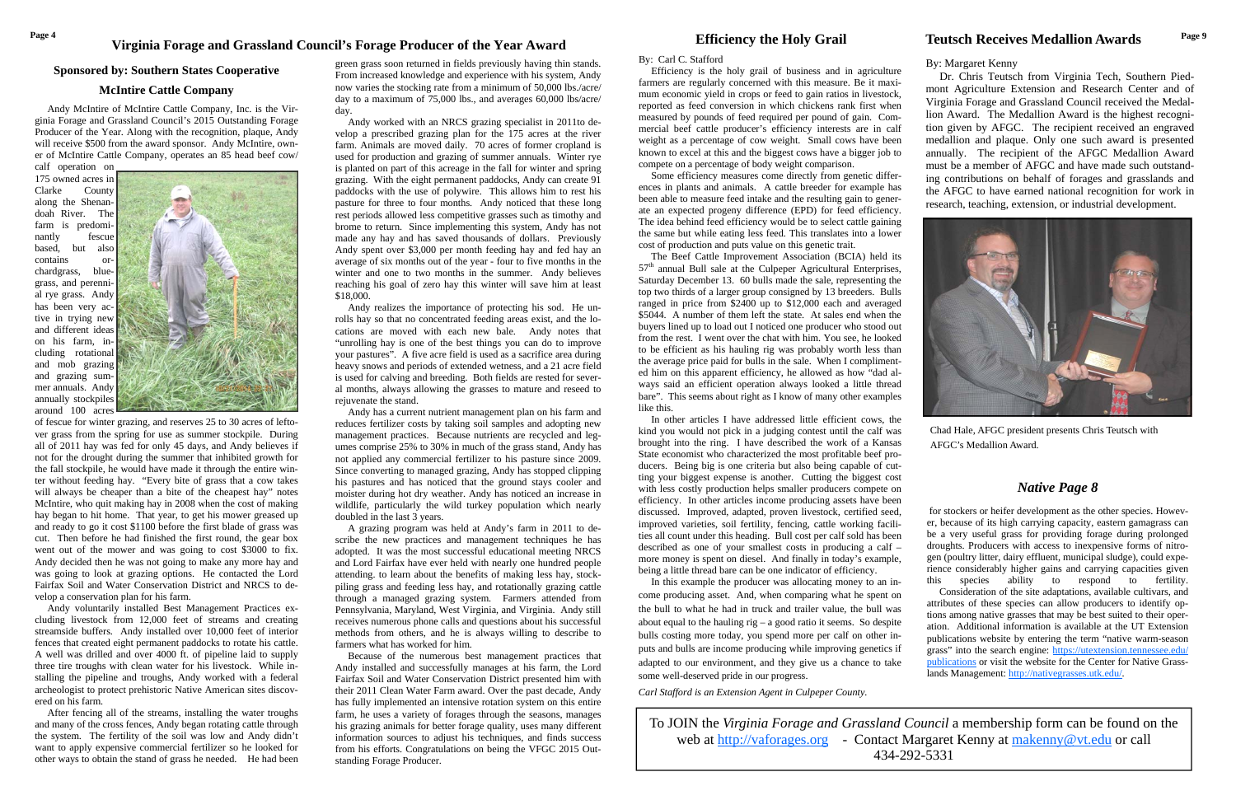# Page 4 Page 4 **Page 4** Page 1 **Page 1** Page 1 **Page 1 Page 1 Page 1 Page 1 Page 1 Page 1 Page 1 Page 1 Page 1 Page 1 Page 1 Page 1 Page 1 Page 1 Page 1 Page 1 Page 1 Page 1 Page 1 Page**

#### **Sponsored by: Southern States Cooperative**

## **McIntire Cattle Company**

 Andy McIntire of McIntire Cattle Company, Inc. is the Virginia Forage and Grassland Council's 2015 Outstanding Forage Producer of the Year. Along with the recognition, plaque, Andy will receive \$500 from the award sponsor. Andy McIntire, owner of McIntire Cattle Company, operates an 85 head beef cow/

calf operation on 175 owned acres in Clarke County along the Shenandoah River. The farm is predominantly fescue based, but also contains orchardgrass, bluegrass, and perennial rye grass. Andy has been very active in trying new and different ideas on his farm, including rotational and mob grazing and grazing summer annuals. Andy annually stockpiles around 100 acres



of fescue for winter grazing, and reserves 25 to 30 acres of leftover grass from the spring for use as summer stockpile. During all of 2011 hay was fed for only 45 days, and Andy believes if not for the drought during the summer that inhibited growth for the fall stockpile, he would have made it through the entire winter without feeding hay. "Every bite of grass that a cow takes will always be cheaper than a bite of the cheapest hay" notes McIntire, who quit making hay in 2008 when the cost of making hay began to hit home. That year, to get his mower greased up and ready to go it cost \$1100 before the first blade of grass was cut. Then before he had finished the first round, the gear box went out of the mower and was going to cost \$3000 to fix. Andy decided then he was not going to make any more hay and was going to look at grazing options. He contacted the Lord Fairfax Soil and Water Conservation District and NRCS to develop a conservation plan for his farm.

 Andy voluntarily installed Best Management Practices excluding livestock from 12,000 feet of streams and creating streamside buffers. Andy installed over 10,000 feet of interior fences that created eight permanent paddocks to rotate his cattle. A well was drilled and over 4000 ft. of pipeline laid to supply three tire troughs with clean water for his livestock. While installing the pipeline and troughs, Andy worked with a federal archeologist to protect prehistoric Native American sites discovered on his farm.

 After fencing all of the streams, installing the water troughs and many of the cross fences, Andy began rotating cattle through the system. The fertility of the soil was low and Andy didn't want to apply expensive commercial fertilizer so he looked for other ways to obtain the stand of grass he needed. He had been

#### By: Carl C. Stafford

 Efficiency is the holy grail of business and in agriculture farmers are regularly concerned with this measure. Be it maximum economic yield in crops or feed to gain ratios in livestock, reported as feed conversion in which chickens rank first when measured by pounds of feed required per pound of gain. Commercial beef cattle producer's efficiency interests are in calf weight as a percentage of cow weight. Small cows have been known to excel at this and the biggest cows have a bigger job to compete on a percentage of body weight comparison.

 Some efficiency measures come directly from genetic differences in plants and animals. A cattle breeder for example has been able to measure feed intake and the resulting gain to generate an expected progeny difference (EPD) for feed efficiency. The idea behind feed efficiency would be to select cattle gaining the same but while eating less feed. This translates into a lower cost of production and puts value on this genetic trait.

 The Beef Cattle Improvement Association (BCIA) held its  $57<sup>th</sup>$  annual Bull sale at the Culpeper Agricultural Enterprises, Saturday December 13. 60 bulls made the sale, representing the top two thirds of a larger group consigned by 13 breeders. Bulls ranged in price from \$2400 up to \$12,000 each and averaged \$5044. A number of them left the state. At sales end when the buyers lined up to load out I noticed one producer who stood out from the rest. I went over the chat with him. You see, he looked to be efficient as his hauling rig was probably worth less than the average price paid for bulls in the sale. When I complimented him on this apparent efficiency, he allowed as how "dad always said an efficient operation always looked a little thread bare". This seems about right as I know of many other examples like this.

 In other articles I have addressed little efficient cows, the kind you would not pick in a judging contest until the calf was brought into the ring. I have described the work of a Kansas State economist who characterized the most profitable beef producers. Being big is one criteria but also being capable of cutting your biggest expense is another. Cutting the biggest cost with less costly production helps smaller producers compete on efficiency. In other articles income producing assets have been discussed. Improved, adapted, proven livestock, certified seed, improved varieties, soil fertility, fencing, cattle working facilities all count under this heading. Bull cost per calf sold has been described as one of your smallest costs in producing a calf – more money is spent on diesel. And finally in today's example, being a little thread bare can be one indicator of efficiency.

 In this example the producer was allocating money to an income producing asset. And, when comparing what he spent on the bull to what he had in truck and trailer value, the bull was about equal to the hauling rig  $-$  a good ratio it seems. So despite bulls costing more today, you spend more per calf on other inputs and bulls are income producing while improving genetics if adapted to our environment, and they give us a chance to take some well-deserved pride in our progress.

*Carl Stafford is an Extension Agent in Culpeper County.* 

green grass soon returned in fields previously having thin stands. From increased knowledge and experience with his system, Andy now varies the stocking rate from a minimum of 50,000 lbs./acre/ day to a maximum of 75,000 lbs., and averages 60,000 lbs/acre/ day.

 Andy worked with an NRCS grazing specialist in 2011to develop a prescribed grazing plan for the 175 acres at the river farm. Animals are moved daily. 70 acres of former cropland is used for production and grazing of summer annuals. Winter rye is planted on part of this acreage in the fall for winter and spring grazing. With the eight permanent paddocks, Andy can create 91 paddocks with the use of polywire. This allows him to rest his pasture for three to four months. Andy noticed that these long rest periods allowed less competitive grasses such as timothy and brome to return. Since implementing this system, Andy has not made any hay and has saved thousands of dollars. Previously Andy spent over \$3,000 per month feeding hay and fed hay an average of six months out of the year - four to five months in the winter and one to two months in the summer. Andy believes reaching his goal of zero hay this winter will save him at least \$18,000.

 Andy realizes the importance of protecting his sod. He unrolls hay so that no concentrated feeding areas exist, and the locations are moved with each new bale. Andy notes that "unrolling hay is one of the best things you can do to improve your pastures". A five acre field is used as a sacrifice area during heavy snows and periods of extended wetness, and a 21 acre field is used for calving and breeding. Both fields are rested for several months, always allowing the grasses to mature and reseed to rejuvenate the stand.

 Andy has a current nutrient management plan on his farm and reduces fertilizer costs by taking soil samples and adopting new management practices. Because nutrients are recycled and legumes comprise 25% to 30% in much of the grass stand, Andy has not applied any commercial fertilizer to his pasture since 2009. Since converting to managed grazing, Andy has stopped clipping his pastures and has noticed that the ground stays cooler and moister during hot dry weather. Andy has noticed an increase in wildlife, particularly the wild turkey population which nearly doubled in the last 3 years.

 A grazing program was held at Andy's farm in 2011 to describe the new practices and management techniques he has adopted. It was the most successful educational meeting NRCS and Lord Fairfax have ever held with nearly one hundred people attending. to learn about the benefits of making less hay, stockpiling grass and feeding less hay, and rotationally grazing cattle through a managed grazing system. Farmers attended from Pennsylvania, Maryland, West Virginia, and Virginia. Andy still receives numerous phone calls and questions about his successful methods from others, and he is always willing to describe to farmers what has worked for him.

 Because of the numerous best management practices that Andy installed and successfully manages at his farm, the Lord Fairfax Soil and Water Conservation District presented him with their 2011 Clean Water Farm award. Over the past decade, Andy has fully implemented an intensive rotation system on this entire farm, he uses a variety of forages through the seasons, manages his grazing animals for better forage quality, uses many different information sources to adjust his techniques, and finds success from his efforts. Congratulations on being the VFGC 2015 Outstanding Forage Producer.

To JOIN the *Virginia Forage and Grassland Council* a membership form can be found on the web at http://vaforages.org - Contact Margaret Kenny at makenny@vt.edu or call 434-292-5331

# **Teutsch Receives Medallion Awards**

By: Margaret Kenny

 Dr. Chris Teutsch from Virginia Tech, Southern Piedmont Agriculture Extension and Research Center and of Virginia Forage and Grassland Council received the Medallion Award. The Medallion Award is the highest recognition given by AFGC. The recipient received an engraved medallion and plaque. Only one such award is presented annually. The recipient of the AFGC Medallion Award must be a member of AFGC and have made such outstanding contributions on behalf of forages and grasslands and the AFGC to have earned national recognition for work in research, teaching, extension, or industrial development.



 for stockers or heifer development as the other species. However, because of its high carrying capacity, eastern gamagrass can be a very useful grass for providing forage during prolonged droughts. Producers with access to inexpensive forms of nitrogen (poultry litter, dairy effluent, municipal sludge), could experience considerably higher gains and carrying capacities given this species ability to respond to fertility. Consideration of the site adaptations, available cultivars, and attributes of these species can allow producers to identify options among native grasses that may be best suited to their operation. Additional information is available at the UT Extension publications website by entering the term "native warm-season grass" into the search engine: https://utextension.tennessee.edu/ publications or visit the website for the Center for Native Grasslands Management: http://nativegrasses.utk.edu/.

# *Native Page 8*

Chad Hale, AFGC president presents Chris Teutsch with AFGC's Medallion Award.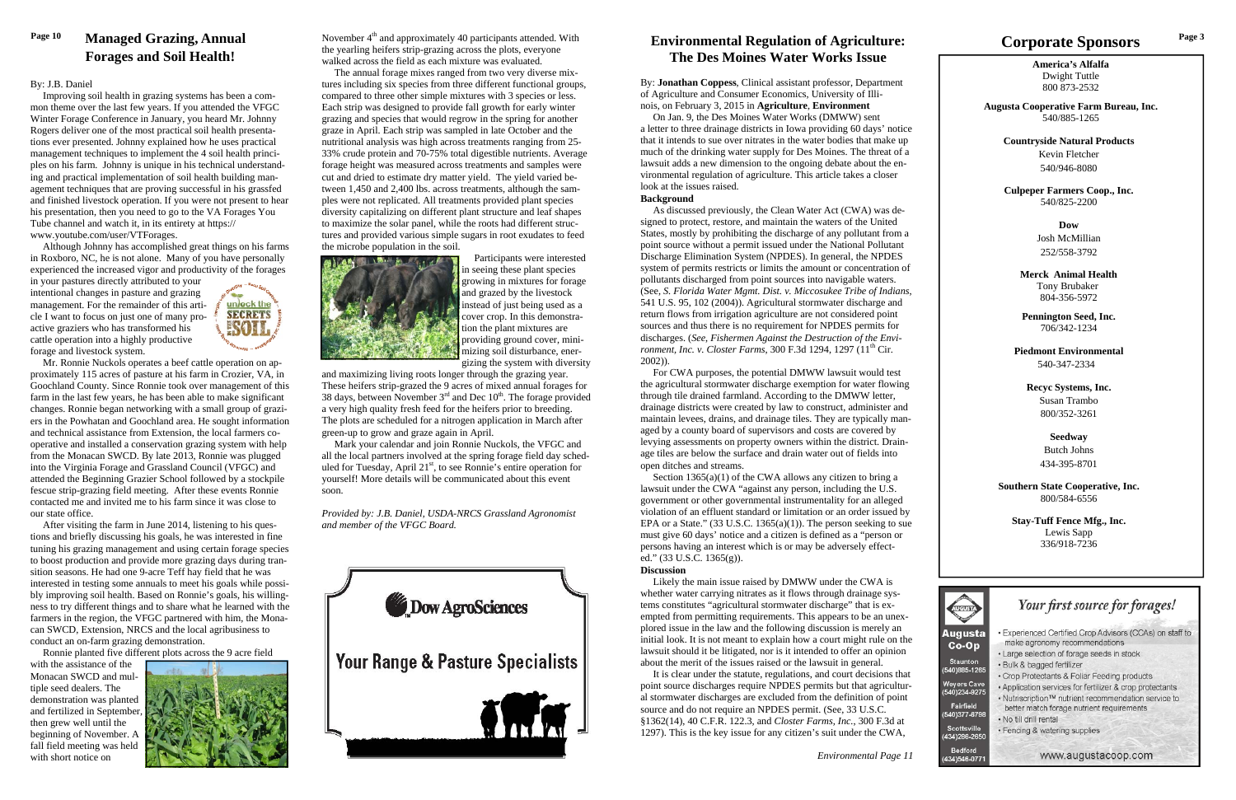**America's Alfalfa** Dwight Tuttle 800 873-2532

**Augusta Cooperative Farm Bureau, Inc.**  540/885-1265

**Countryside Natural Products**  Kevin Fletcher 540/946-8080

**Culpeper Farmers Coop., Inc.**  540/825-2200

> **Dow** Josh McMillian 252/558-3792

**Merck Animal Health** Tony Brubaker 804-356-5972

**Pennington Seed, Inc.**  706/342-1234

**Piedmont Environmental**  540-347-2334

**Recyc Systems, Inc.**  Susan Trambo 800/352-3261

> **Seedway**  Butch Johns 434-395-8701

**Southern State Cooperative, Inc.**  800/584-6556

**Stay-Tuff Fence Mfg., Inc.**  Lewis Sapp 336/918-7236



# **Corporate Sponsors**

By: **Jonathan Coppess**, Clinical assistant professor, Department of Agriculture and Consumer Economics, University of Illinois, on February 3, 2015 in **Agriculture**, **Environment**

 On Jan. 9, the Des Moines Water Works (DMWW) sent a letter to three drainage districts in Iowa providing 60 days' notice that it intends to sue over nitrates in the water bodies that make up much of the drinking water supply for Des Moines. The threat of a lawsuit adds a new dimension to the ongoing debate about the environmental regulation of agriculture. This article takes a closer look at the issues raised.

#### **Background**

Section 1365(a)(1) of the CWA allows any citizen to bring a lawsuit under the CWA "against any person, including the U.S. government or other governmental instrumentality for an alleged violation of an effluent standard or limitation or an order issued by EPA or a State."  $(33 \text{ U.S.C. } 1365(a)(1))$ . The person seeking to sue must give 60 days' notice and a citizen is defined as a "person or persons having an interest which is or may be adversely effected." (33 U.S.C. 1365(g)).

 As discussed previously, the Clean Water Act (CWA) was designed to protect, restore, and maintain the waters of the United States, mostly by prohibiting the discharge of any pollutant from a point source without a permit issued under the National Pollutant Discharge Elimination System (NPDES). In general, the NPDES system of permits restricts or limits the amount or concentration of pollutants discharged from point sources into navigable waters. (See, *S. Florida Water Mgmt. Dist. v. Miccosukee Tribe of Indians*, 541 U.S. 95, 102 (2004)). Agricultural stormwater discharge and return flows from irrigation agriculture are not considered point sources and thus there is no requirement for NPDES permits for discharges. (*See*, *Fishermen Against the Destruction of the Environment, Inc. v. Closter Farms, 300 F.3d 1294, 1297 (11<sup>th</sup> Cir.* 2002)).

Page 10 **Managed Grazing, Annual** November 4<sup>th</sup> and approximately 40 participants attended. With **Environmental Regulation of Agriculture** Corporate Corporate Sponsors Page 3 the yearling heifers strip-grazing across the plots, everyone walked across the field as each mixture was evaluated.

> For CWA purposes, the potential DMWW lawsuit would test the agricultural stormwater discharge exemption for water flowing through tile drained farmland. According to the DMWW letter, drainage districts were created by law to construct, administer and maintain levees, drains, and drainage tiles. They are typically managed by a county board of supervisors and costs are covered by levying assessments on property owners within the district. Drainage tiles are below the surface and drain water out of fields into open ditches and streams.

### **Discussion**

 Likely the main issue raised by DMWW under the CWA is whether water carrying nitrates as it flows through drainage systems constitutes "agricultural stormwater discharge" that is exempted from permitting requirements. This appears to be an unexplored issue in the law and the following discussion is merely an initial look. It is not meant to explain how a court might rule on the lawsuit should it be litigated, nor is it intended to offer an opinion about the merit of the issues raised or the lawsuit in general.

 It is clear under the statute, regulations, and court decisions that point source discharges require NPDES permits but that agricultural stormwater discharges are excluded from the definition of point source and do not require an NPDES permit. (See, 33 U.S.C. §1362(14), 40 C.F.R. 122.3, and *Closter Farms, Inc.*, 300 F.3d at 1297). This is the key issue for any citizen's suit under the CWA,

# **Environmental Regulation of Agriculture: The Des Moines Water Works Issue**

 The annual forage mixes ranged from two very diverse mixtures including six species from three different functional groups, compared to three other simple mixtures with 3 species or less. Each strip was designed to provide fall growth for early winter grazing and species that would regrow in the spring for another graze in April. Each strip was sampled in late October and the nutritional analysis was high across treatments ranging from 25- 33% crude protein and 70-75% total digestible nutrients. Average forage height was measured across treatments and samples were cut and dried to estimate dry matter yield. The yield varied between 1,450 and 2,400 lbs. across treatments, although the samples were not replicated. All treatments provided plant species diversity capitalizing on different plant structure and leaf shapes to maximize the solar panel, while the roots had different structures and provided various simple sugars in root exudates to feed the microbe population in the soil.



 Participants were interested in seeing these plant species growing in mixtures for forage and grazed by the livestock instead of just being used as a cover crop. In this demonstration the plant mixtures are providing ground cover, minimizing soil disturbance, energizing the system with diversity

and maximizing living roots longer through the grazing year. These heifers strip-grazed the 9 acres of mixed annual forages for 38 days, between November  $3<sup>rd</sup>$  and Dec  $10<sup>th</sup>$ . The forage provided a very high quality fresh feed for the heifers prior to breeding. The plots are scheduled for a nitrogen application in March after green-up to grow and graze again in April.

 Mark your calendar and join Ronnie Nuckols, the VFGC and all the local partners involved at the spring forage field day scheduled for Tuesday, April  $21<sup>st</sup>$ , to see Ronnie's entire operation for yourself! More details will be communicated about this event soon.

*Provided by: J.B. Daniel, USDA-NRCS Grassland Agronomist and member of the VFGC Board.* 



# **Managed Grazing, Annual Forages and Soil Health!**

### By: J.B. Daniel

 Improving soil health in grazing systems has been a common theme over the last few years. If you attended the VFGC Winter Forage Conference in January, you heard Mr. Johnny Rogers deliver one of the most practical soil health presentations ever presented. Johnny explained how he uses practical management techniques to implement the 4 soil health principles on his farm. Johnny is unique in his technical understanding and practical implementation of soil health building management techniques that are proving successful in his grassfed and finished livestock operation. If you were not present to hear his presentation, then you need to go to the VA Forages You Tube channel and watch it, in its entirety at https:// www.youtube.com/user/VTForages.

 Although Johnny has accomplished great things on his farms in Roxboro, NC, he is not alone. Many of you have personally experienced the increased vigor and productivity of the forages

in your pastures directly attributed to your intentional changes in pasture and grazing management. For the remainder of this article I want to focus on just one of many proactive graziers who has transformed his cattle operation into a highly productive forage and livestock system.



 Mr. Ronnie Nuckols operates a beef cattle operation on approximately 115 acres of pasture at his farm in Crozier, VA, in Goochland County. Since Ronnie took over management of this farm in the last few years, he has been able to make significant changes. Ronnie began networking with a small group of graziers in the Powhatan and Goochland area. He sought information and technical assistance from Extension, the local farmers cooperative and installed a conservation grazing system with help from the Monacan SWCD. By late 2013, Ronnie was plugged into the Virginia Forage and Grassland Council (VFGC) and attended the Beginning Grazier School followed by a stockpile fescue strip-grazing field meeting. After these events Ronnie contacted me and invited me to his farm since it was close to our state office.

 After visiting the farm in June 2014, listening to his questions and briefly discussing his goals, he was interested in fine tuning his grazing management and using certain forage species to boost production and provide more grazing days during transition seasons. He had one 9-acre Teff hay field that he was interested in testing some annuals to meet his goals while possibly improving soil health. Based on Ronnie's goals, his willingness to try different things and to share what he learned with the farmers in the region, the VFGC partnered with him, the Monacan SWCD, Extension, NRCS and the local agribusiness to conduct an on-farm grazing demonstration.

Ronnie planted five different plots across the 9 acre field

with the assistance of the Monacan SWCD and multiple seed dealers. The demonstration was planted and fertilized in September, then grew well until the beginning of November. A fall field meeting was held with short notice on

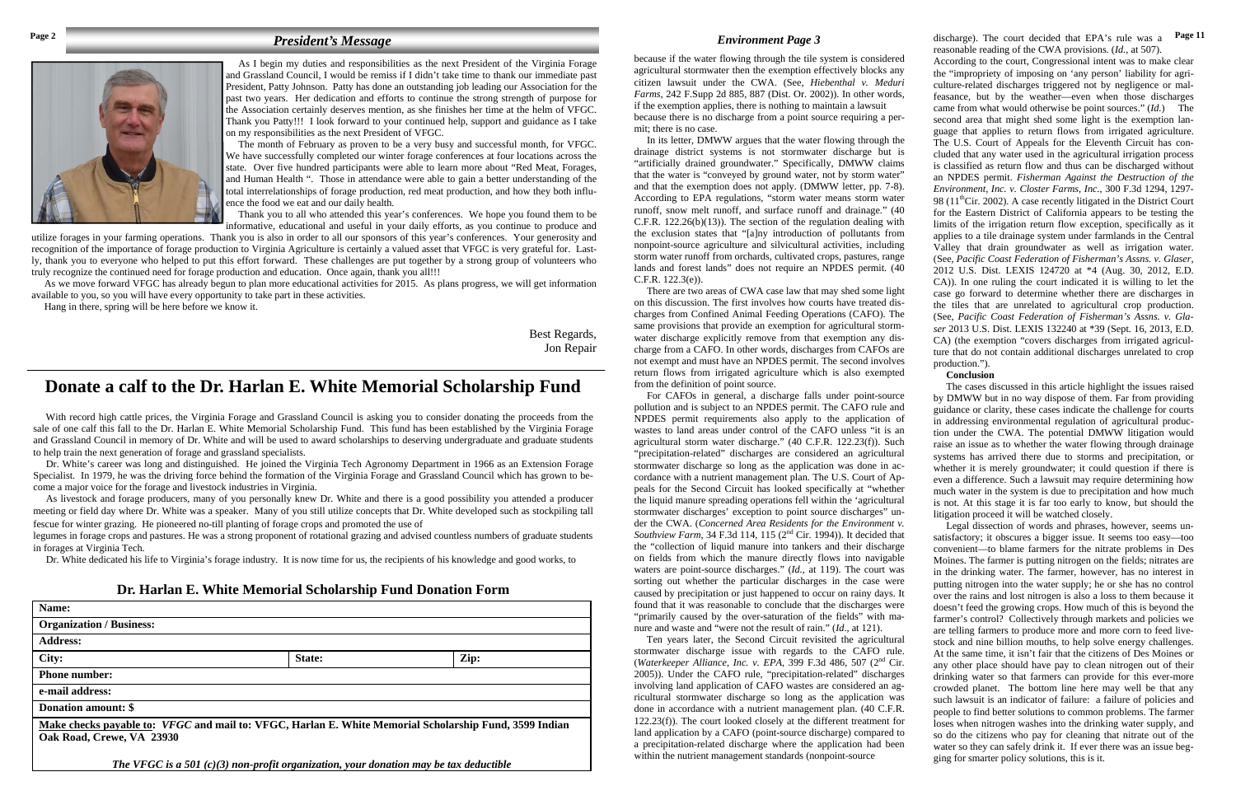As I begin my duties and responsibilities as the next President of the Virginia Forage and Grassland Council, I would be remiss if I didn't take time to thank our immediate past President, Patty Johnson. Patty has done an outstanding job leading our Association for the past two years. Her dedication and efforts to continue the strong strength of purpose for the Association certainly deserves mention, as she finishes her time at the helm of VFGC. Thank you Patty!!! I look forward to your continued help, support and guidance as I take on my responsibilities as the next President of VFGC.

 The month of February as proven to be a very busy and successful month, for VFGC. We have successfully completed our winter forage conferences at four locations across the state. Over five hundred participants were able to learn more about "Red Meat, Forages, and Human Health ". Those in attendance were able to gain a better understanding of the total interrelationships of forage production, red meat production, and how they both influence the food we eat and our daily health.

 Thank you to all who attended this year's conferences. We hope you found them to be informative, educational and useful in your daily efforts, as you continue to produce and

utilize forages in your farming operations. Thank you is also in order to all our sponsors of this year's conferences. Your generosity and recognition of the importance of forage production to Virginia Agriculture is certainly a valued asset that VFGC is very grateful for. Lastly, thank you to everyone who helped to put this effort forward. These challenges are put together by a strong group of volunteers who truly recognize the continued need for forage production and education. Once again, thank you all!!!

 As we move forward VFGC has already begun to plan more educational activities for 2015. As plans progress, we will get information available to you, so you will have every opportunity to take part in these activities.

Hang in there, spring will be here before we know it.

Best Regards, Jon Repair

# *President's Message*



because if the water flowing through the tile system is considered agricultural stormwater then the exemption effectively blocks any citizen lawsuit under the CWA. (See, *Hiebenthal v. Meduri Farms*, 242 F.Supp 2d 885, 887 (Dist. Or. 2002)). In other words, if the exemption applies, there is nothing to maintain a lawsuit because there is no discharge from a point source requiring a permit; there is no case.

 In its letter, DMWW argues that the water flowing through the drainage district systems is not stormwater discharge but is "artificially drained groundwater." Specifically, DMWW claims that the water is "conveyed by ground water, not by storm water" and that the exemption does not apply. (DMWW letter, pp. 7-8). According to EPA regulations, "storm water means storm water runoff, snow melt runoff, and surface runoff and drainage." (40  $C.F.R. 122.26(b)(13)$ . The section of the regulation dealing with the exclusion states that "[a]ny introduction of pollutants from nonpoint-source agriculture and silvicultural activities, including storm water runoff from orchards, cultivated crops, pastures, range lands and forest lands" does not require an NPDES permit. (40 C.F.R. 122.3(e)).

 There are two areas of CWA case law that may shed some light on this discussion. The first involves how courts have treated discharges from Confined Animal Feeding Operations (CAFO). The same provisions that provide an exemption for agricultural stormwater discharge explicitly remove from that exemption any discharge from a CAFO. In other words, discharges from CAFOs are not exempt and must have an NPDES permit. The second involves return flows from irrigated agriculture which is also exempted from the definition of point source.

 For CAFOs in general, a discharge falls under point-source pollution and is subject to an NPDES permit. The CAFO rule and NPDES permit requirements also apply to the application of wastes to land areas under control of the CAFO unless "it is an agricultural storm water discharge." (40 C.F.R. 122.23(f)). Such "precipitation-related" discharges are considered an agricultural stormwater discharge so long as the application was done in accordance with a nutrient management plan. The U.S. Court of Appeals for the Second Circuit has looked specifically at "whether the liquid manure spreading operations fell within the 'agricultural stormwater discharges' exception to point source discharges" under the CWA. (*Concerned Area Residents for the Environment v. Southview Farm*, 34 F.3d 114, 115 (2<sup>nd</sup> Cir. 1994)). It decided that the "collection of liquid manure into tankers and their discharge on fields from which the manure directly flows into navigable waters are point-source discharges." (*Id.,* at 119). The court was sorting out whether the particular discharges in the case were caused by precipitation or just happened to occur on rainy days. It found that it was reasonable to conclude that the discharges were "primarily caused by the over-saturation of the fields" with manure and waste and "were not the result of rain." (*Id*., at 121).

*Environment Page 3* discharge). The court decided that EPA's rule was a reasonable reading of the CWA provisions. (*Id.*, at 507). **Page 11** 

With record high cattle prices, the Virginia Forage and Grassland Council is asking you to consider donating the proceeds from the sale of one calf this fall to the Dr. Harlan E. White Memorial Scholarship Fund. This fund has been established by the Virginia Forage and Grassland Council in memory of Dr. White and will be used to award scholarships to deserving undergraduate and graduate students to help train the next generation of forage and grassland specialists.

> Ten years later, the Second Circuit revisited the agricultural stormwater discharge issue with regards to the CAFO rule. (*Waterkeeper Alliance, Inc. v. EPA, 399 F.3d 486, 507 (2<sup>nd</sup> Cir.* 2005)). Under the CAFO rule, "precipitation-related" discharges involving land application of CAFO wastes are considered an agricultural stormwater discharge so long as the application was done in accordance with a nutrient management plan. (40 C.F.R. 122.23(f)). The court looked closely at the different treatment for land application by a CAFO (point-source discharge) compared to a precipitation-related discharge where the application had been within the nutrient management standards (nonpoint-source

According to the court, Congressional intent was to make clear the "impropriety of imposing on 'any person' liability for agriculture-related discharges triggered not by negligence or malfeasance, but by the weather—even when those discharges came from what would otherwise be point sources." (*Id.*) The second area that might shed some light is the exemption language that applies to return flows from irrigated agriculture. The U.S. Court of Appeals for the Eleventh Circuit has concluded that any water used in the agricultural irrigation process is classified as return flow and thus can be discharged without an NPDES permit. *Fisherman Against the Destruction of the Environment, Inc. v. Closter Farms, Inc.*, 300 F.3d 1294, 1297- 98 ( $11<sup>th</sup>$ Cir. 2002). A case recently litigated in the District Court for the Eastern District of California appears to be testing the limits of the irrigation return flow exception, specifically as it applies to a tile drainage system under farmlands in the Central Valley that drain groundwater as well as irrigation water. (See, *Pacific Coast Federation of Fisherman's Assns. v. Glaser*, 2012 U.S. Dist. LEXIS 124720 at \*4 (Aug. 30, 2012, E.D. CA)). In one ruling the court indicated it is willing to let the case go forward to determine whether there are discharges in the tiles that are unrelated to agricultural crop production. (See, *Pacific Coast Federation of Fisherman's Assns. v. Glaser* 2013 U.S. Dist. LEXIS 132240 at \*39 (Sept. 16, 2013, E.D. CA) (the exemption "covers discharges from irrigated agriculture that do not contain additional discharges unrelated to crop production.").

#### **Conclusion**

 The cases discussed in this article highlight the issues raised by DMWW but in no way dispose of them. Far from providing guidance or clarity, these cases indicate the challenge for courts in addressing environmental regulation of agricultural production under the CWA. The potential DMWW litigation would raise an issue as to whether the water flowing through drainage systems has arrived there due to storms and precipitation, or whether it is merely groundwater; it could question if there is even a difference. Such a lawsuit may require determining how much water in the system is due to precipitation and how much is not. At this stage it is far too early to know, but should the litigation proceed it will be watched closely.

 Legal dissection of words and phrases, however, seems unsatisfactory; it obscures a bigger issue. It seems too easy—too convenient—to blame farmers for the nitrate problems in Des Moines. The farmer is putting nitrogen on the fields; nitrates are in the drinking water. The farmer, however, has no interest in putting nitrogen into the water supply; he or she has no control over the rains and lost nitrogen is also a loss to them because it doesn't feed the growing crops. How much of this is beyond the farmer's control? Collectively through markets and policies we are telling farmers to produce more and more corn to feed livestock and nine billion mouths, to help solve energy challenges. At the same time, it isn't fair that the citizens of Des Moines or any other place should have pay to clean nitrogen out of their drinking water so that farmers can provide for this ever-more crowded planet. The bottom line here may well be that any such lawsuit is an indicator of failure: a failure of policies and people to find better solutions to common problems. The farmer loses when nitrogen washes into the drinking water supply, and so do the citizens who pay for cleaning that nitrate out of the water so they can safely drink it. If ever there was an issue begging for smarter policy solutions, this is it.

 Dr. White's career was long and distinguished. He joined the Virginia Tech Agronomy Department in 1966 as an Extension Forage Specialist. In 1979, he was the driving force behind the formation of the Virginia Forage and Grassland Council which has grown to become a major voice for the forage and livestock industries in Virginia.

 As livestock and forage producers, many of you personally knew Dr. White and there is a good possibility you attended a producer meeting or field day where Dr. White was a speaker. Many of you still utilize concepts that Dr. White developed such as stockpiling tall fescue for winter grazing. He pioneered no-till planting of forage crops and promoted the use of

legumes in forage crops and pastures. He was a strong proponent of rotational grazing and advised countless numbers of graduate students in forages at Virginia Tech.

Dr. White dedicated his life to Virginia's forage industry. It is now time for us, the recipients of his knowledge and good works, to

# **Dr. Harlan E. White Memorial Scholarship Fund Donation Form**

| Name:                                                                                                                               |        |      |
|-------------------------------------------------------------------------------------------------------------------------------------|--------|------|
| <b>Organization / Business:</b>                                                                                                     |        |      |
| <b>Address:</b>                                                                                                                     |        |      |
| City:                                                                                                                               | State: | Zip: |
| <b>Phone number:</b>                                                                                                                |        |      |
| e-mail address:                                                                                                                     |        |      |
| Donation amount: \$                                                                                                                 |        |      |
| Make checks payable to: VFGC and mail to: VFGC, Harlan E. White Memorial Scholarship Fund, 3599 Indian<br>Oak Road, Crewe, VA 23930 |        |      |
| The UECC is a $SO(1/\sqrt{2})$ near mostly expanded in a near departing months of $L_1$                                             |        |      |

*The VFGC is a 501 (c)(3) non-profit organization, your donation may be tax deductible*

# **Donate a calf to the Dr. Harlan E. White Memorial Scholarship Fund**